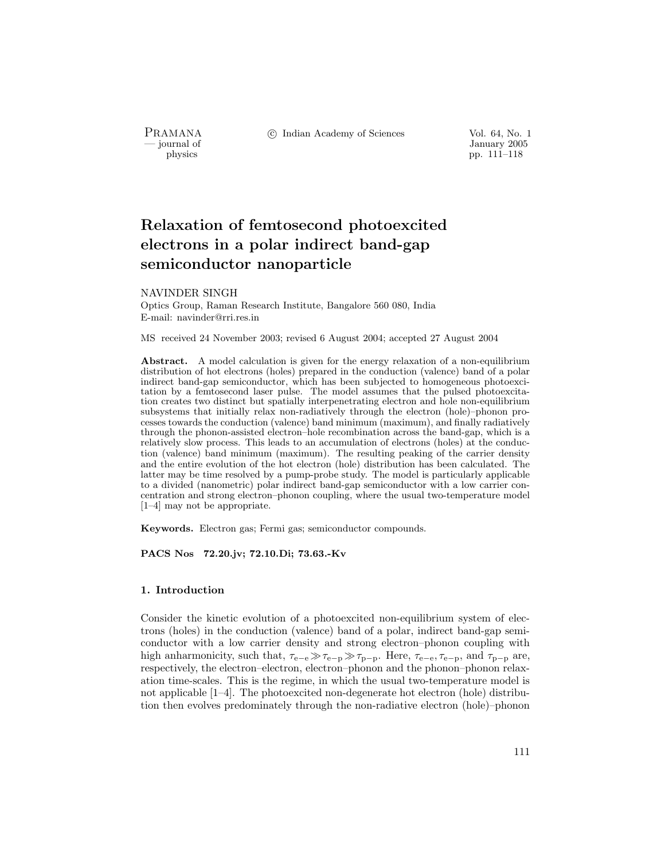PRAMANA °c Indian Academy of Sciences Vol. 64, No. 1

January 2005<br>
physics<br>
pp. 111–118 pp. 111–118

# Relaxation of femtosecond photoexcited electrons in a polar indirect band-gap semiconductor nanoparticle

#### NAVINDER SINGH

Optics Group, Raman Research Institute, Bangalore 560 080, India E-mail: navinder@rri.res.in

MS received 24 November 2003; revised 6 August 2004; accepted 27 August 2004

Abstract. A model calculation is given for the energy relaxation of a non-equilibrium distribution of hot electrons (holes) prepared in the conduction (valence) band of a polar indirect band-gap semiconductor, which has been subjected to homogeneous photoexcitation by a femtosecond laser pulse. The model assumes that the pulsed photoexcitation creates two distinct but spatially interpenetrating electron and hole non-equilibrium subsystems that initially relax non-radiatively through the electron (hole)–phonon processes towards the conduction (valence) band minimum (maximum), and finally radiatively through the phonon-assisted electron–hole recombination across the band-gap, which is a relatively slow process. This leads to an accumulation of electrons (holes) at the conduction (valence) band minimum (maximum). The resulting peaking of the carrier density and the entire evolution of the hot electron (hole) distribution has been calculated. The latter may be time resolved by a pump-probe study. The model is particularly applicable to a divided (nanometric) polar indirect band-gap semiconductor with a low carrier concentration and strong electron–phonon coupling, where the usual two-temperature model [1–4] may not be appropriate.

Keywords. Electron gas; Fermi gas; semiconductor compounds.

PACS Nos 72.20.jv; 72.10.Di; 73.63.-Kv

#### 1. Introduction

Consider the kinetic evolution of a photoexcited non-equilibrium system of electrons (holes) in the conduction (valence) band of a polar, indirect band-gap semiconductor with a low carrier density and strong electron–phonon coupling with high anharmonicity, such that,  $\tau_{e-e} \gg \tau_{e-p} \gg \tau_{p-p}$ . Here,  $\tau_{e-e}, \tau_{e-p}$ , and  $\tau_{p-p}$  are, respectively, the electron–electron, electron–phonon and the phonon–phonon relaxation time-scales. This is the regime, in which the usual two-temperature model is not applicable [1–4]. The photoexcited non-degenerate hot electron (hole) distribution then evolves predominately through the non-radiative electron (hole)–phonon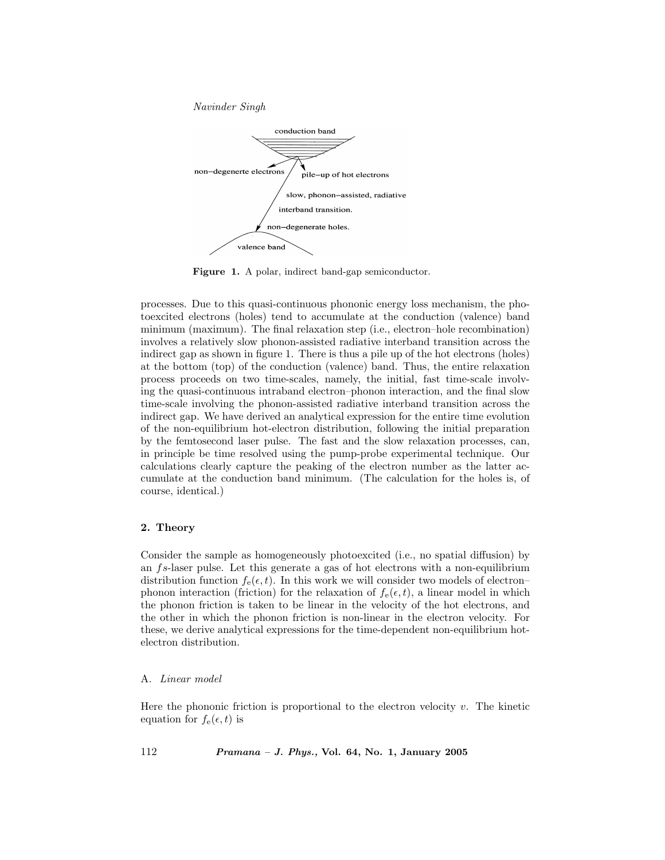Navinder Singh



Figure 1. A polar, indirect band-gap semiconductor.

processes. Due to this quasi-continuous phononic energy loss mechanism, the photoexcited electrons (holes) tend to accumulate at the conduction (valence) band minimum (maximum). The final relaxation step (i.e., electron–hole recombination) involves a relatively slow phonon-assisted radiative interband transition across the indirect gap as shown in figure 1. There is thus a pile up of the hot electrons (holes) at the bottom (top) of the conduction (valence) band. Thus, the entire relaxation process proceeds on two time-scales, namely, the initial, fast time-scale involving the quasi-continuous intraband electron–phonon interaction, and the final slow time-scale involving the phonon-assisted radiative interband transition across the indirect gap. We have derived an analytical expression for the entire time evolution of the non-equilibrium hot-electron distribution, following the initial preparation by the femtosecond laser pulse. The fast and the slow relaxation processes, can, in principle be time resolved using the pump-probe experimental technique. Our calculations clearly capture the peaking of the electron number as the latter accumulate at the conduction band minimum. (The calculation for the holes is, of course, identical.)

#### 2. Theory

Consider the sample as homogeneously photoexcited (i.e., no spatial diffusion) by an fs-laser pulse. Let this generate a gas of hot electrons with a non-equilibrium distribution function  $f_e(\epsilon, t)$ . In this work we will consider two models of electron– phonon interaction (friction) for the relaxation of  $f_e(\epsilon, t)$ , a linear model in which the phonon friction is taken to be linear in the velocity of the hot electrons, and the other in which the phonon friction is non-linear in the electron velocity. For these, we derive analytical expressions for the time-dependent non-equilibrium hotelectron distribution.

#### A. Linear model

Here the phononic friction is proportional to the electron velocity  $v$ . The kinetic equation for  $f_{e}(\epsilon, t)$  is

112 Pramana – J. Phys., Vol. 64, No. 1, January 2005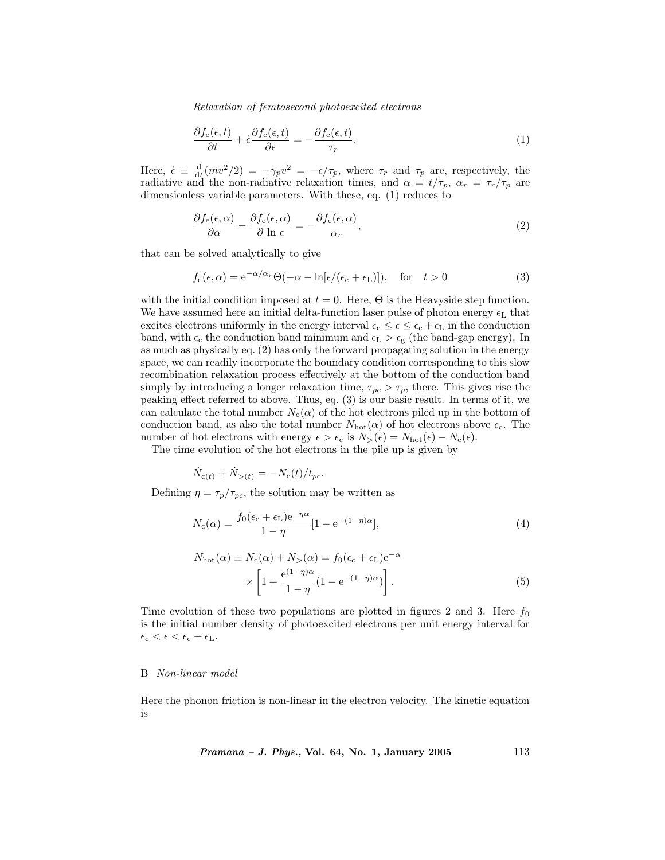Relaxation of femtosecond photoexcited electrons

$$
\frac{\partial f_{e}(\epsilon, t)}{\partial t} + \dot{\epsilon} \frac{\partial f_{e}(\epsilon, t)}{\partial \epsilon} = -\frac{\partial f_{e}(\epsilon, t)}{\tau_r}.
$$
\n(1)

Here,  $\dot{\epsilon} \equiv \frac{d}{dt}(mv^2/2) = -\gamma_p v^2 = -\epsilon/\tau_p$ , where  $\tau_r$  and  $\tau_p$  are, respectively, the radiative and the non-radiative relaxation times, and  $\alpha = t/\tau_p$ ,  $\alpha_r = \tau_r/\tau_p$  are dimensionless variable parameters. With these, eq. (1) reduces to

$$
\frac{\partial f_{\mathbf{e}}(\epsilon,\alpha)}{\partial \alpha} - \frac{\partial f_{\mathbf{e}}(\epsilon,\alpha)}{\partial \ln \epsilon} = -\frac{\partial f_{\mathbf{e}}(\epsilon,\alpha)}{\alpha_r},\tag{2}
$$

that can be solved analytically to give

$$
f_{e}(\epsilon,\alpha) = e^{-\alpha/\alpha_{r}} \Theta(-\alpha - \ln[\epsilon/(\epsilon_{c} + \epsilon_{L})]), \text{ for } t > 0
$$
 (3)

with the initial condition imposed at  $t = 0$ . Here,  $\Theta$  is the Heavyside step function. We have assumed here an initial delta-function laser pulse of photon energy  $\epsilon_L$  that excites electrons uniformly in the energy interval  $\epsilon_c \leq \epsilon \leq \epsilon_c + \epsilon_L$  in the conduction band, with  $\epsilon_c$  the conduction band minimum and  $\epsilon_L > \epsilon_g$  (the band-gap energy). In as much as physically eq. (2) has only the forward propagating solution in the energy space, we can readily incorporate the boundary condition corresponding to this slow recombination relaxation process effectively at the bottom of the conduction band simply by introducing a longer relaxation time,  $\tau_{pc} > \tau_p$ , there. This gives rise the peaking effect referred to above. Thus, eq. (3) is our basic result. In terms of it, we can calculate the total number  $N_c(\alpha)$  of the hot electrons piled up in the bottom of conduction band, as also the total number  $N_{\text{hot}}(\alpha)$  of hot electrons above  $\epsilon_{c}$ . The number of hot electrons with energy  $\epsilon > \epsilon_c$  is  $N_>(\epsilon) = N_{\text{hot}}(\epsilon) - N_c(\epsilon)$ .

The time evolution of the hot electrons in the pile up is given by

$$
\dot{N}_{c(t)} + \dot{N}_{>(t)} = -N_c(t)/t_{pc}.
$$

Defining  $\eta = \tau_p/\tau_{pc}$ , the solution may be written as

$$
N_{\rm c}(\alpha) = \frac{f_0(\epsilon_{\rm c} + \epsilon_{\rm L})e^{-\eta \alpha}}{1 - \eta} [1 - e^{-(1 - \eta)\alpha}], \tag{4}
$$

$$
N_{\text{hot}}(\alpha) \equiv N_{\text{c}}(\alpha) + N_{>}(\alpha) = f_0(\epsilon_{\text{c}} + \epsilon_{\text{L}}) e^{-\alpha}
$$

$$
\times \left[1 + \frac{e^{(1-\eta)\alpha}}{1-\eta} (1 - e^{-(1-\eta)\alpha})\right]. \tag{5}
$$

Time evolution of these two populations are plotted in figures 2 and 3. Here  $f_0$ is the initial number density of photoexcited electrons per unit energy interval for  $\epsilon_\mathrm{c} < \epsilon < \epsilon_\mathrm{c} + \epsilon_\mathrm{L}.$ 

#### B Non-linear model

Here the phonon friction is non-linear in the electron velocity. The kinetic equation is

*Pramana - J. Phys.*, Vol. 64, No. 1, January 2005 
$$
113
$$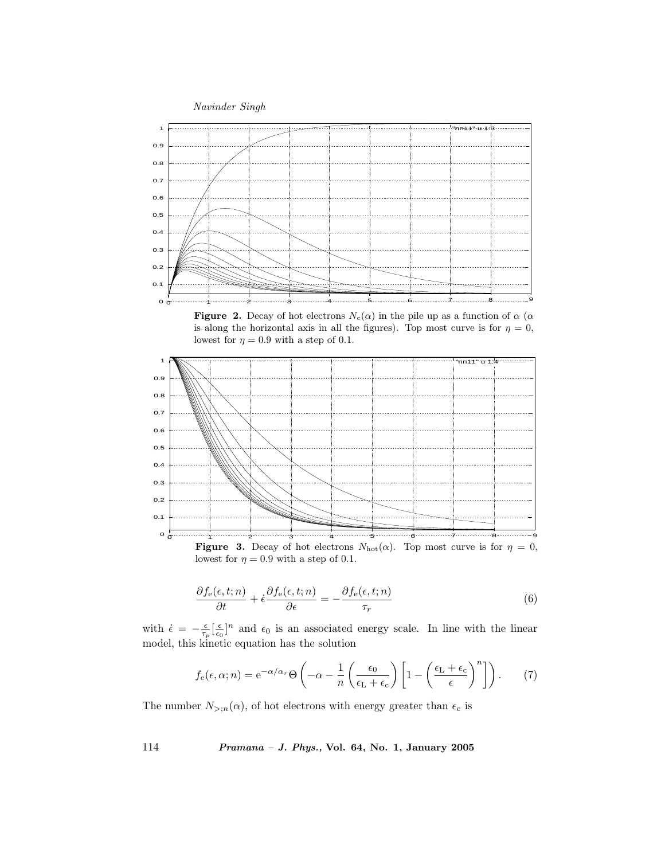

**Figure 2.** Decay of hot electrons  $N_c(\alpha)$  in the pile up as a function of  $\alpha$  ( $\alpha$ ) is along the horizontal axis in all the figures). Top most curve is for  $\eta = 0$ , lowest for  $\eta = 0.9$  with a step of 0.1.



**Figure 3.** Decay of hot electrons  $N_{hot}(\alpha)$ . Top most curve is for  $\eta = 0$ , lowest for  $\eta = 0.9$  with a step of 0.1.

$$
\frac{\partial f_{\mathbf{e}}(\epsilon, t; n)}{\partial t} + \dot{\epsilon} \frac{\partial f_{\mathbf{e}}(\epsilon, t; n)}{\partial \epsilon} = -\frac{\partial f_{\mathbf{e}}(\epsilon, t; n)}{\tau_r} \tag{6}
$$

with  $\dot{\epsilon} = -\frac{\epsilon}{\tau_p} \left[\frac{\epsilon}{\epsilon_0}\right]^n$  and  $\epsilon_0$  is an associated energy scale. In line with the linear model, this kinetic equation has the solution

$$
f_{e}(\epsilon,\alpha;n) = e^{-\alpha/\alpha_{r}} \Theta\left(-\alpha - \frac{1}{n} \left(\frac{\epsilon_{0}}{\epsilon_{L} + \epsilon_{c}}\right) \left[1 - \left(\frac{\epsilon_{L} + \epsilon_{c}}{\epsilon}\right)^{n}\right]\right).
$$
 (7)

The number  $N_{>(n)}(\alpha)$ , of hot electrons with energy greater than  $\epsilon_c$  is

114 Pramana – J. Phys., Vol. 64, No. 1, January 2005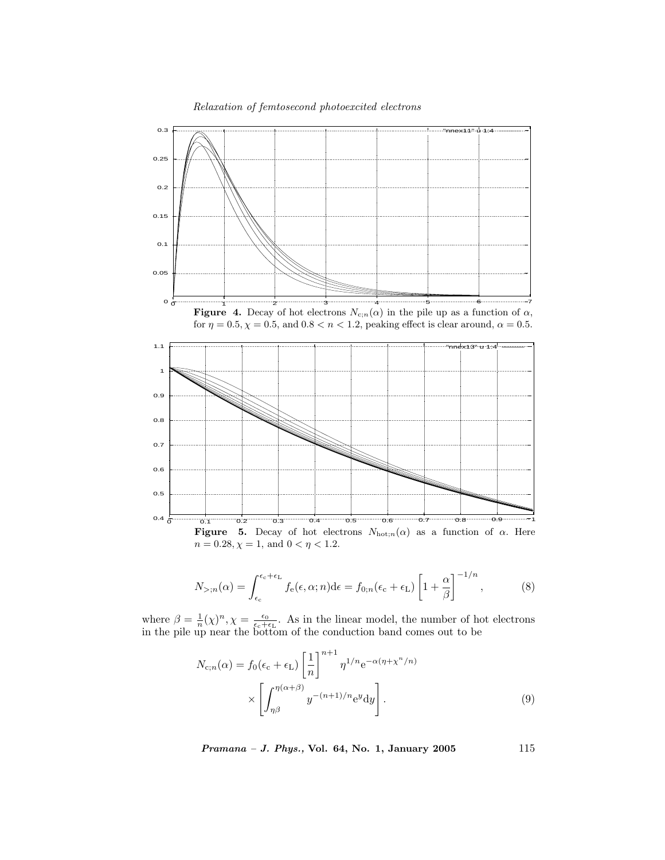Relaxation of femtosecond photoexcited electrons







$$
N_{>,n}(\alpha) = \int_{\epsilon_c}^{\epsilon_c + \epsilon_L} f_e(\epsilon, \alpha; n) d\epsilon = f_{0;n}(\epsilon_c + \epsilon_L) \left[ 1 + \frac{\alpha}{\beta} \right]^{-1/n}, \quad (8)
$$

where  $\beta = \frac{1}{n}(\chi)^n$ ,  $\chi = \frac{\epsilon_0}{\epsilon_c+\epsilon_L}$ . As in the linear model, the number of hot electrons in the pile up near the bottom of the conduction band comes out to be

$$
N_{c;n}(\alpha) = f_0(\epsilon_c + \epsilon_L) \left[ \frac{1}{n} \right]^{n+1} \eta^{1/n} e^{-\alpha(\eta + \chi^n/n)} \times \left[ \int_{\eta\beta}^{\eta(\alpha+\beta)} y^{-(n+1)/n} e^y dy \right].
$$
 (9)

 $Pramana - J. Phys., Vol. 64, No. 1, January 2005$  115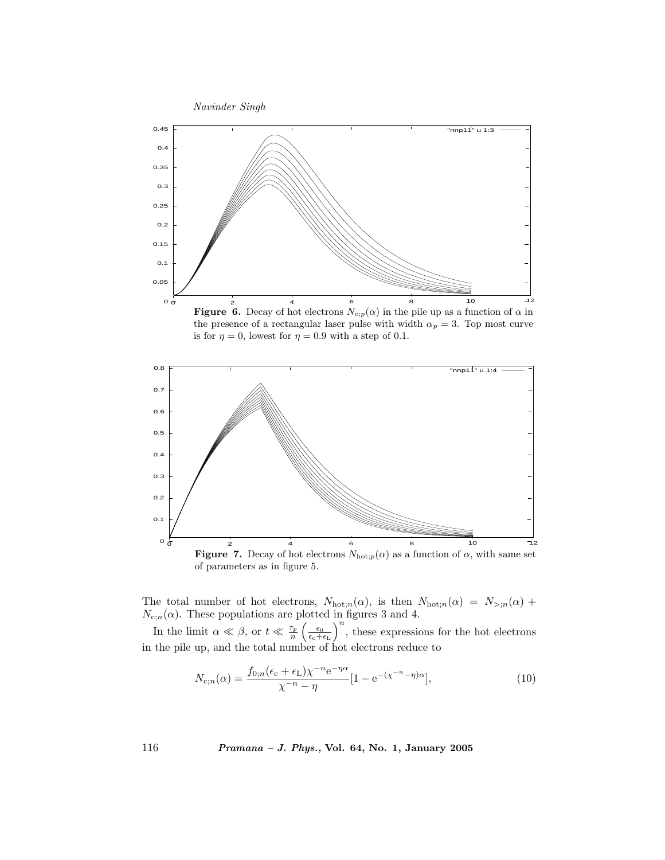

**Figure 6.** Decay of hot electrons  $N_{c,p}(\alpha)$  in the pile up as a function of  $\alpha$  in the presence of a rectangular laser pulse with width  $\alpha_p = 3$ . Top most curve is for  $\eta = 0$ , lowest for  $\eta = 0.9$  with a step of 0.1.



The total number of hot electrons,  $N_{\text{hot};n}(\alpha)$ , is then  $N_{\text{hot};n}(\alpha) = N_{\geq,n}(\alpha)$  +  $N_{c,n}(\alpha)$ . These populations are plotted in figures 3 and 4.

In the limit  $\alpha \ll \beta$ , or  $t \ll \frac{\tau_p}{n} \left(\frac{\epsilon_0}{\epsilon_c+\epsilon_L}\right)^n$ , these expressions for the hot electrons in the pile up, and the total number of hot electrons reduce to

$$
N_{\mathbf{c};n}(\alpha) = \frac{f_{0;n}(\epsilon_{\mathbf{c}} + \epsilon_{\mathbf{L}})\chi^{-n}\mathbf{e}^{-\eta\alpha}}{\chi^{-n} - \eta} [1 - \mathbf{e}^{-(\chi^{-n} - \eta)\alpha}], \tag{10}
$$

116 Pramana – J. Phys., Vol. 64, No. 1, January 2005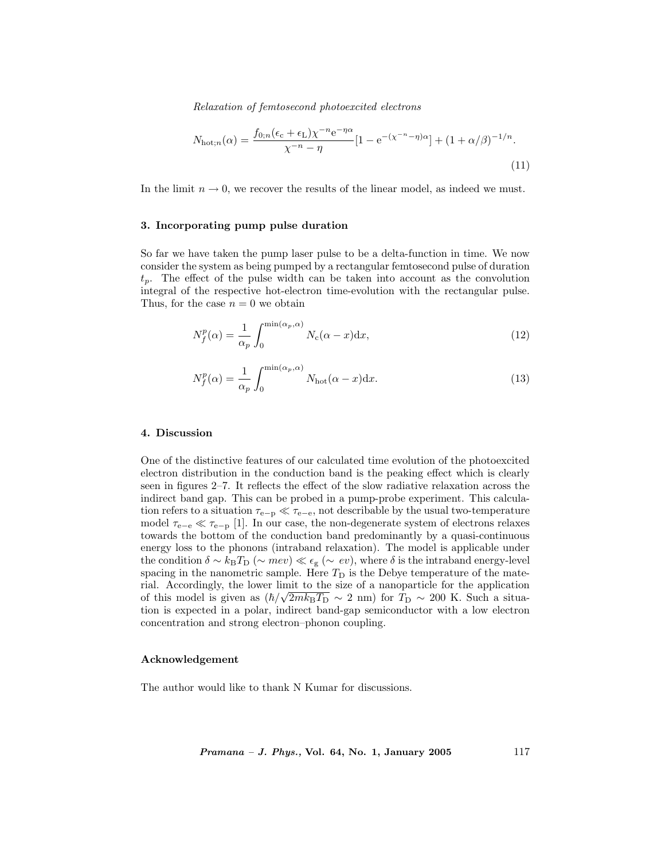Relaxation of femtosecond photoexcited electrons

$$
N_{\text{hot};n}(\alpha) = \frac{f_{0;n}(\epsilon_{\text{c}} + \epsilon_{\text{L}})\chi^{-n}\text{e}^{-\eta\alpha}}{\chi^{-n} - \eta} [1 - \text{e}^{-(\chi^{-n} - \eta)\alpha}] + (1 + \alpha/\beta)^{-1/n}.
$$
\n(11)

In the limit  $n \to 0$ , we recover the results of the linear model, as indeed we must.

#### 3. Incorporating pump pulse duration

So far we have taken the pump laser pulse to be a delta-function in time. We now consider the system as being pumped by a rectangular femtosecond pulse of duration  $t_p$ . The effect of the pulse width can be taken into account as the convolution integral of the respective hot-electron time-evolution with the rectangular pulse. Thus, for the case  $n = 0$  we obtain

$$
N_f^p(\alpha) = \frac{1}{\alpha_p} \int_0^{\min(\alpha_p, \alpha)} N_c(\alpha - x) \mathrm{d}x,\tag{12}
$$

$$
N_f^p(\alpha) = \frac{1}{\alpha_p} \int_0^{\min(\alpha_p, \alpha)} N_{\text{hot}}(\alpha - x) dx.
$$
 (13)

#### 4. Discussion

One of the distinctive features of our calculated time evolution of the photoexcited electron distribution in the conduction band is the peaking effect which is clearly seen in figures 2–7. It reflects the effect of the slow radiative relaxation across the indirect band gap. This can be probed in a pump-probe experiment. This calculation refers to a situation  $\tau_{e-p} \ll \tau_{e-e}$ , not describable by the usual two-temperature model  $\tau_{e-e} \ll \tau_{e-p}$  [1]. In our case, the non-degenerate system of electrons relaxes towards the bottom of the conduction band predominantly by a quasi-continuous energy loss to the phonons (intraband relaxation). The model is applicable under the condition  $\delta \sim k_BT_D$  ( $\sim mev$ ) «  $\epsilon_g$  ( $\sim ev$ ), where  $\delta$  is the intraband energy-level spacing in the nanometric sample. Here  $T_D$  is the Debye temperature of the material. Accordingly, the lower limit to the size of a nanoparticle for the application of this model is given as  $(\hbar/\sqrt{2m k_B T_D} \sim 2$  nm) for  $T_D \sim 200$  K. Such a situation is expected in a polar, indirect band-gap semiconductor with a low electron concentration and strong electron–phonon coupling.

#### Acknowledgement

The author would like to thank N Kumar for discussions.

 $Pramana - J. Phys., Vol. 64, No. 1, January 2005$  117